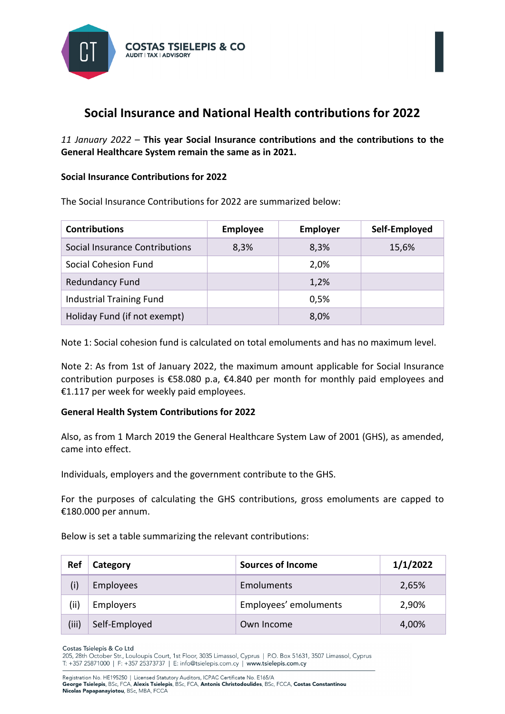

## **Social Insurance and National Health contributions for 2022**

*11 January 2022* – **This year Social Insurance contributions and the contributions to the General Healthcare System remain the same as in 2021.**

## **Social Insurance Contributions for 2022**

The Social Insurance Contributions for 2022 are summarized below:

| <b>Contributions</b>            | <b>Employee</b> | <b>Employer</b> | Self-Employed |
|---------------------------------|-----------------|-----------------|---------------|
| Social Insurance Contributions  | 8,3%            | 8,3%            | 15,6%         |
| Social Cohesion Fund            |                 | 2,0%            |               |
| <b>Redundancy Fund</b>          |                 | 1,2%            |               |
| <b>Industrial Training Fund</b> |                 | 0,5%            |               |
| Holiday Fund (if not exempt)    |                 | 8,0%            |               |

Note 1: Social cohesion fund is calculated on total emoluments and has no maximum level.

Note 2: As from 1st of January 2022, the maximum amount applicable for Social Insurance contribution purposes is €58.080 p.a, €4.840 per month for monthly paid employees and €1.117 per week for weekly paid employees.

## **General Health System Contributions for 2022**

Also, as from 1 March 2019 the General Healthcare System Law of 2001 (GHS), as amended, came into effect.

Individuals, employers and the government contribute to the GHS.

For the purposes of calculating the GHS contributions, gross emoluments are capped to €180.000 per annum.

Below is set a table summarizing the relevant contributions:

| Ref   | Category         | <b>Sources of Income</b> | 1/1/2022 |
|-------|------------------|--------------------------|----------|
| (i)   | <b>Employees</b> | <b>Emoluments</b>        | 2,65%    |
| (ii)  | <b>Employers</b> | Employees' emoluments    | 2,90%    |
| (iii) | Self-Employed    | Own Income               | 4,00%    |

Costas Tsielenis & Coltd

205, 28th October Str., Louloupis Court, 1st Floor, 3035 Limassol, Cyprus | P.O. Box 51631, 3507 Limassol, Cyprus T: +357 25871000 | F: +357 25373737 | E: info@tsielepis.com.cy | www.tsielepis.com.cy